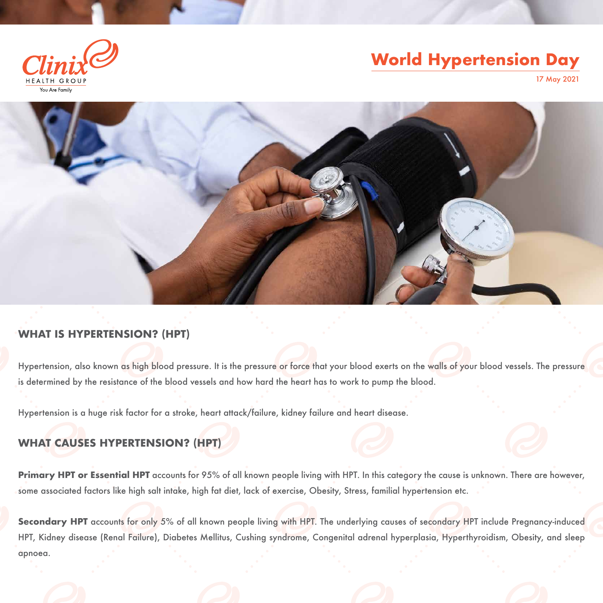### **WHAT IS HYPERTENSION? (HPT)**

Hypertension, also known as high blood pressure. It is the pressure or force that your blood exerts on the walls of your blood vessels. The pressure is determined by the resistance of the blood vessels and how hard the heart has to work to pump the blood.

Hypertension is a huge risk factor for a stroke, heart attack/failure, kidney failure and heart disease.

### **WHAT CAUSES HYPERTENSION? (HPT)**

Secondary HPT accounts for only 5% of all known people living with HPT. The underlying causes of secondary HPT include Pregnancy-induced HPT, Kidney disease (Renal Failure), Diabetes Mellitus, Cushing syndrome, Congenital adrenal hyperplasia, Hyperthyroidism, Obesity, and sleep apnoea.

**Primary HPT or Essential HPT** accounts for 95% of all known people living with HPT. In this category the cause is unknown. There are however, some associated factors like high salt intake, high fat diet, lack of exercise, Obesity, Stress, familial hypertension etc.



# **World Hypertension Day**

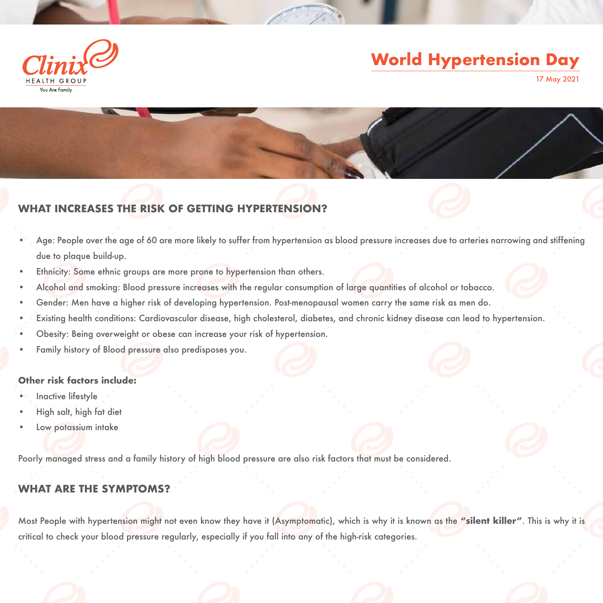### **WHAT INCREASES THE RISK OF GETTING HYPERTENSION?**

- Age: People over the age of 60 are more likely to suffer from hypertension as blood pressure increases due to arteries narrowing and stiffening due to plaque build-up.
- Ethnicity: Some ethnic groups are more prone to hypertension than others.
- Alcohol and smoking: Blood pressure increases with the regular consumption of large quantities of alcohol or tobacco.
- Gender: Men have a higher risk of developing hypertension. Post-menopausal women carry the same risk as men do.
- Existing health conditions: Cardiovascular disease, high cholesterol, diabetes, and chronic kidney disease can lead to hypertension.
- Obesity: Being overweight or obese can increase your risk of hypertension.
- Family history of Blood pressure also predisposes you.

#### **Other risk factors include:**

- Inactive lifestyle
- High salt, high fat diet
- Low potassium intake

Poorly managed stress and a family history of high blood pressure are also risk factors that must be considered.

#### **WHAT ARE THE SYMPTOMS?**

Most People with hypertension might not even know they have it (Asymptomatic), which is why it is known as the **"silent killer"**. This is why it is critical to check your blood pressure regularly, especially if you fall into any of the high-risk categories.



# **World Hypertension Day**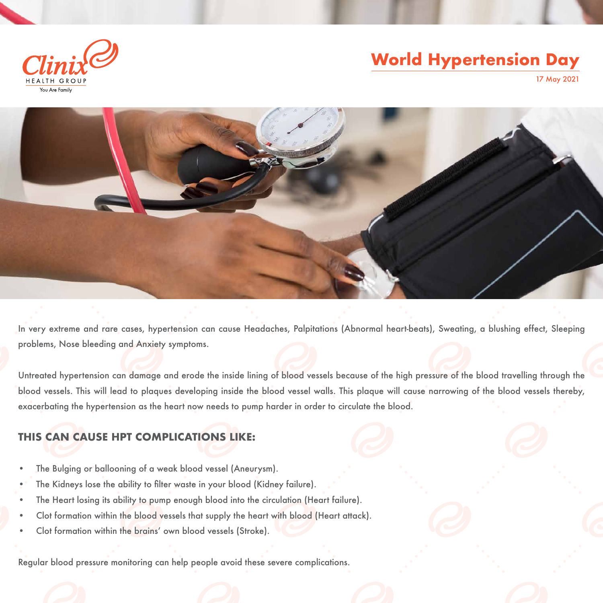In very extreme and rare cases, hypertension can cause Headaches, Palpitations (Abnormal heart-beats), Sweating, a blushing effect, Sleeping problems, Nose bleeding and Anxiety symptoms.

Untreated hypertension can damage and erode the inside lining of blood vessels because of the high pressure of the blood travelling through the blood vessels. This will lead to plaques developing inside the blood vessel walls. This plaque will cause narrowing of the blood vessels thereby, exacerbating the hypertension as the heart now needs to pump harder in order to circulate the blood.

- The Bulging or ballooning of a weak blood vessel (Aneurysm).
- The Kidneys lose the ability to filter waste in your blood (Kidney failure).
- The Heart losing its ability to pump enough blood into the circulation (Heart failure).
- Clot formation within the blood vessels that supply the heart with blood (Heart attack).
- • Clot formation within the brains' own blood vessels (Stroke).

### **THIS CAN CAUSE HPT COMPLICATIONS LIKE:**

Regular blood pressure monitoring can help people avoid these severe complications.

## **World Hypertension Day**



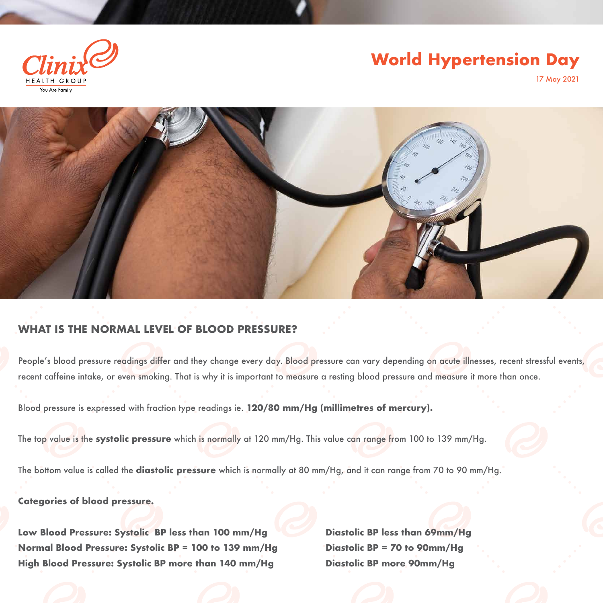### **WHAT IS THE NORMAL LEVEL OF BLOOD PRESSURE?**

People's blood pressure readings differ and they change every day. Blood pressure can vary depending on acute illnesses, recent stressful events, recent caffeine intake, or even smoking. That is why it is important to measure a resting blood pressure and measure it more than once.

Blood pressure is expressed with fraction type readings ie. **120/80 mm/Hg (millimetres of mercury).**

Low Blood Pressure: Systolic BP less than 100 mm/Hg Diastolic BP less than 69mm/Hg Normal Blood Pressure: Systolic BP = 100 to 139 mm/Hg Diastolic BP = 70 to 90mm/Hg **High Blood Pressure: Systolic BP more than 140 mm/Hg Diastolic BP more 90mm/Hg**

The top value is the **systolic pressure** which is normally at 120 mm/Hg. This value can range from 100 to 139 mm/Hg.

The bottom value is called the **diastolic pressure** which is normally at 80 mm/Hg, and it can range from 70 to 90 mm/Hg.

**Categories of blood pressure.**





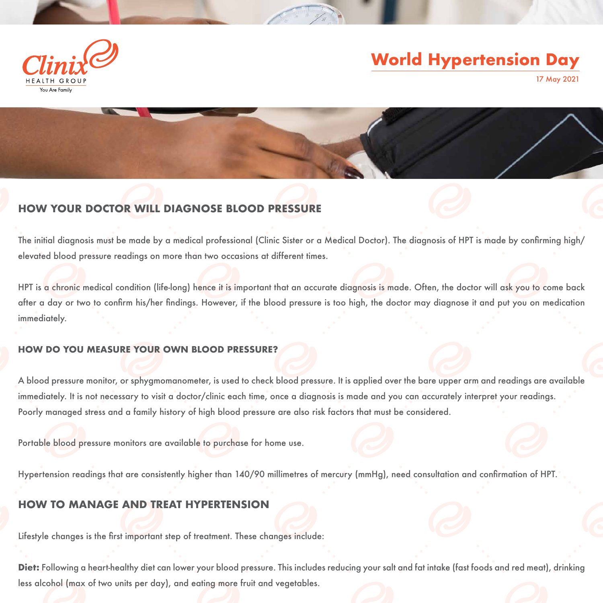### **HOW YOUR DOCTOR WILL DIAGNOSE BLOOD PRESSURE**

The initial diagnosis must be made by a medical professional (Clinic Sister or a Medical Doctor). The diagnosis of HPT is made by confrming high/ elevated blood pressure readings on more than two occasions at different times.

HPT is a chronic medical condition (life-long) hence it is important that an accurate diagnosis is made. Often, the doctor will ask you to come back after a day or two to confrm his/her fndings. However, if the blood pressure is too high, the doctor may diagnose it and put you on medication immediately.

#### **HOW DO YOU MEASURE YOUR OWN BLOOD PRESSURE?**

Diet: Following a heart-healthy diet can lower your blood pressure. This includes reducing your salt and fat intake (fast foods and red meat), drinking less alcohol (max of two units per day), and eating more fruit and vegetables.

A blood pressure monitor, or sphygmomanometer, is used to check blood pressure. It is applied over the bare upper arm and readings are available immediately. It is not necessary to visit a doctor/clinic each time, once a diagnosis is made and you can accurately interpret your readings. Poorly managed stress and a family history of high blood pressure are also risk factors that must be considered.

Portable blood pressure monitors are available to purchase for home use.

Hypertension readings that are consistently higher than 140/90 millimetres of mercury (mmHg), need consultation and confrmation of HPT.

#### **HOW TO MANAGE AND TRE**

Lifestyle changes is the frst important step of treatment. These changes include:



# **World Hypertension Day**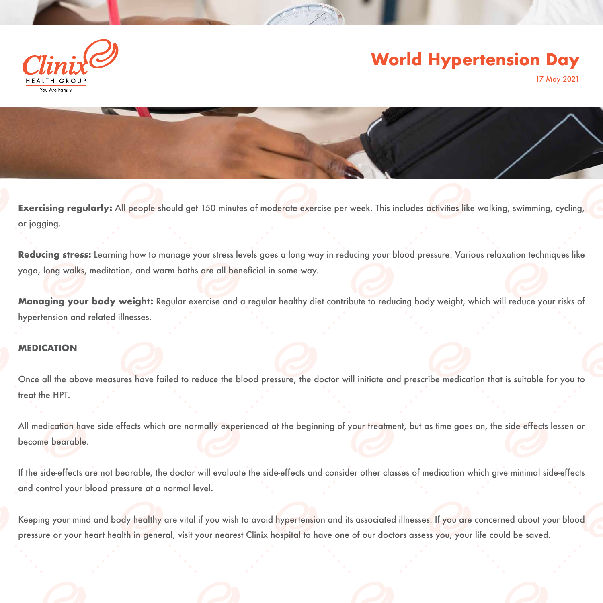Exercising regularly: All people should get 150 minutes of moderate exercise per week. This includes activities like walking, swimming, cycling, or jogging.

**Reducing stress:** Learning how to manage your stress levels goes a long way in reducing your blood pressure. Various relaxation techniques like yoga, long walks, meditation, and warm baths are all beneficial in some way.

All medication have side effects which are normally experienced at the beginning of your treatment, but as time goes on, the side effects lessen or become bearable.

**Managing your body weight:** Regular exercise and a regular healthy diet contribute to reducing body weight, which will reduce your risks of hypertension and related illnesses.

#### **MEDICATION**

Once all the above measures have failed to reduce the blood pressure, the doctor will initiate and prescribe medication that is suitable for you to treat the HPT.

If the side-effects are not bearable, the doctor will evaluate the side-effects and consider other classes of medication which give minimal side-effects and control your blood pressure at a normal level.

Keeping your mind and body healthy are vital if you wish to avoid hypertension and its associated illnesses. If you are concerned about your blood pressure or your heart health in general, visit your nearest Clinix hospital to have one of our doctors assess you, your life could be saved.



# **World Hypertension Day**